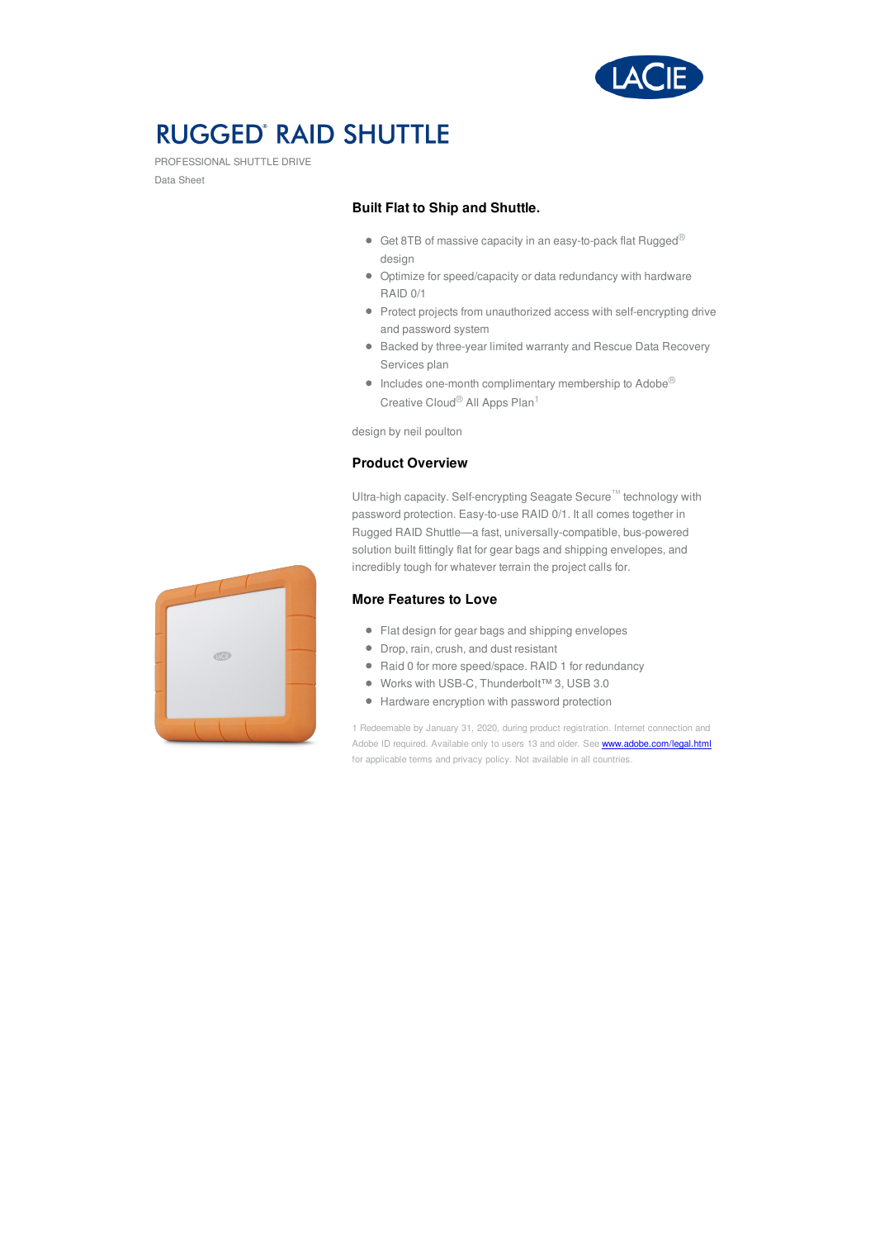

# **RUGGED' RAID SHUTTLE**

PROFESSIONAL SHUTTLE DRIVE Data Sheet

### **Built Flat to Ship and Shuttle.**

- Get 8TB of massive capacity in an easy-to-pack flat Rugged<sup>®</sup> design
- Optimize for speed/capacity or data redundancy with hardware RAID 0/1
- Protect projects from unauthorized access with self-encrypting drive and password system
- Backed by three-year limited warranty and Rescue Data Recovery Services plan
- $\bullet$  Includes one-month complimentary membership to Adobe® Creative Cloud® All Apps Plan<sup>1</sup>

design by neil poulton

### **Product Overview**

Ultra-high capacity. Self-encrypting Seagate Secure™ technology with password protection. Easy-to-use RAID 0/1. It all comes together in Rugged RAID Shuttle—a fast, universally-compatible, bus-powered solution built fittingly flat for gear bags and shipping envelopes, and incredibly tough for whatever terrain the project calls for.

#### **More Features to Love**

- Flat design for gear bags and shipping envelopes
- Drop, rain, crush, and dust resistant
- Raid 0 for more speed/space. RAID 1 for redundancy
- Works with USB-C, Thunderbolt™ 3, USB 3.0
- Hardware encryption with password protection

1 Redeemable by January 31, 2020, during product registration. Internet connection and Adobe ID required. Available only to users 13 and older. See **[www.adobe.com/legal.html](https://www.adobe.com/legal.html)** for applicable terms and privacy policy. Not available in all countries.